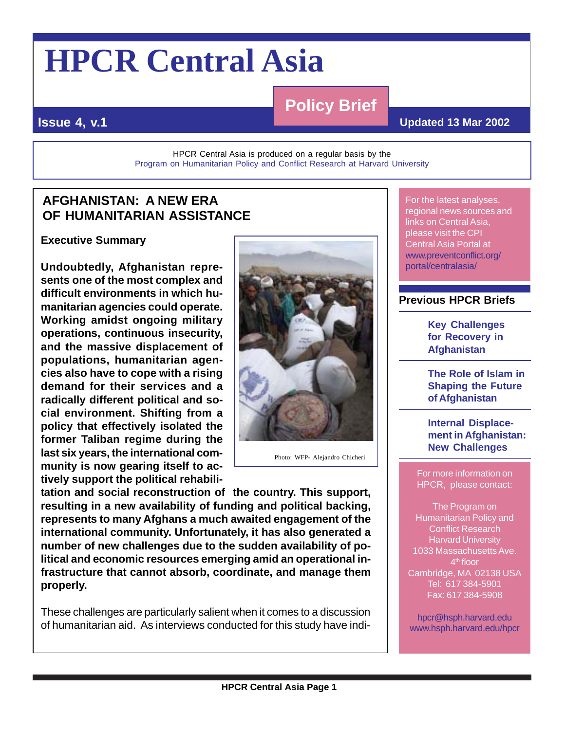# **HPCR Central Asia**

# **Policy Brief**

#### **Issue 4, v.1**

#### **Updated 13 Mar 2002**

HPCR Central Asia is produced on a regular basis by the [Program on Humanitarian Policy and Conflict Research at Harvard University](http://www.hsph.harvard.edu/hpcr)

## **AFGHANISTAN: A NEW ERA OF HUMANITARIAN ASSISTANCE**

**Executive Summary**

**Undoubtedly, Afghanistan represents one of the most complex and difficult environments in which humanitarian agencies could operate. Working amidst ongoing military operations, continuous insecurity, and the massive displacement of populations, humanitarian agencies also have to cope with a rising demand for their services and a radically different political and social environment. Shifting from a policy that effectively isolated the former Taliban regime during the last six years, the international community is now gearing itself to actively support the political rehabili-**



Photo: WFP- Alejandro Chicheri

**tation and social reconstruction of the country. This support, resulting in a new availability of funding and political backing, represents to many Afghans a much awaited engagement of the international community. Unfortunately, it has also generated a number of new challenges due to the sudden availability of political and economic resources emerging amid an operational infrastructure that cannot absorb, coordinate, and manage them properly.**

These challenges are particularly salient when it comes to a discussion of humanitarian aid. As interviews conducted for this study have indi-

For the latest analyses, regional news sources and links on Central Asia, please visit the CPI Central Asia Portal at [www.preventconflict.org/](http://www.preventconflict.org/portal/centralasia/) [portal/centralasia/](http://www.preventconflict.org/portal/centralasia/)

#### **Previous HPCR Briefs**

**[Key Challenges](http://www.preventconflict.org/portal/centralasia/Brief3vol2.pdf) [for Recovery in](http://www.preventconflict.org/portal/centralasia/Brief3vol2.pdf) [Afghanistan](http://www.preventconflict.org/portal/centralasia/Brief3vol2.pdf)**

**[The Role of Islam in](http://www.preventconflict.org/portal/centralasia/brief2_final1106.pdf) [Shaping the Future](http://www.preventconflict.org/portal/centralasia/brief2_final1106.pdf) [of Afghanistan](http://www.preventconflict.org/portal/centralasia/brief2_final1106.pdf)**

**[Internal Displace](http://www.preventconflict.org/portal/centralasia/Brief1vol3.pdf)[ment in Afghanistan:](http://www.preventconflict.org/portal/centralasia/Brief1vol3.pdf) [New Challenges](http://www.preventconflict.org/portal/centralasia/Brief1vol3.pdf)**

For more information on HPCR, please contact:

The Program on Humanitarian Policy and Conflict Research Harvard University 1033 Massachusetts Ave. 4<sup>th</sup> floor Cambridge, MA 02138 USA Tel: 617 384-5901 Fax: 617 384-5908

[hpcr@hsph.harvard.edu](mailto:hpcr@hsph.harvard.edu) [www.hsph.harvard.edu/hpcr](http://www.hsph.harvard.edu/hpcr)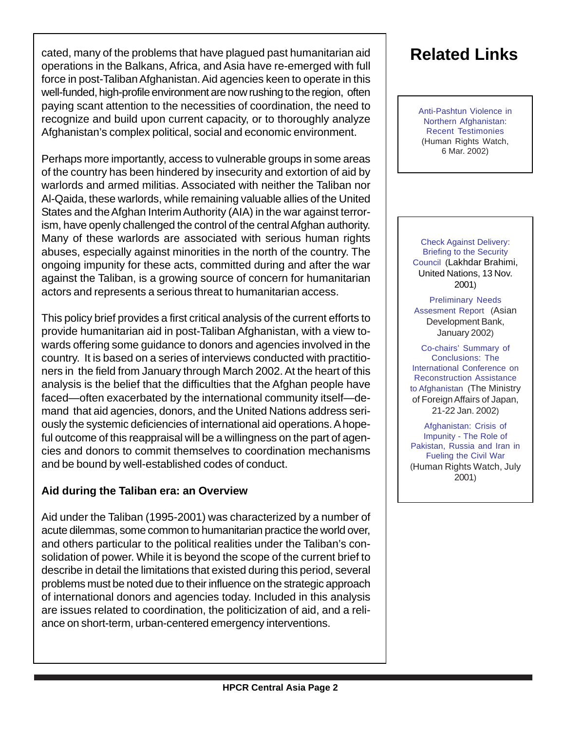cated, many of the problems that have plagued past humanitarian aid operations in the Balkans, Africa, and Asia have re-emerged with full force in post-Taliban Afghanistan. Aid agencies keen to operate in this well-funded, high-profile environment are now rushing to the region, often paying scant attention to the necessities of coordination, the need to recognize and build upon current capacity, or to thoroughly analyze Afghanistan's complex political, social and economic environment.

Perhaps more importantly, access to vulnerable groups in some areas of the country has been hindered by insecurity and extortion of aid by warlords and armed militias. Associated with neither the Taliban nor Al-Qaida, these warlords, while remaining valuable allies of the United States and the Afghan Interim Authority (AIA) in the war against terrorism, have openly challenged the control of the central Afghan authority. Many of these warlords are associated with serious human rights abuses, especially against minorities in the north of the country. The ongoing impunity for these acts, committed during and after the war against the Taliban, is a growing source of concern for humanitarian actors and represents a serious threat to humanitarian access.

This policy brief provides a first critical analysis of the current efforts to provide humanitarian aid in post-Taliban Afghanistan, with a view towards offering some guidance to donors and agencies involved in the country. It is based on a series of interviews conducted with practitioners in the field from January through March 2002. At the heart of this analysis is the belief that the difficulties that the Afghan people have faced—often exacerbated by the international community itself—demand that aid agencies, donors, and the United Nations address seriously the systemic deficiencies of international aid operations. A hopeful outcome of this reappraisal will be a willingness on the part of agencies and donors to commit themselves to coordination mechanisms and be bound by well-established codes of conduct.

#### **Aid during the Taliban era: an Overview**

Aid under the Taliban (1995-2001) was characterized by a number of acute dilemmas, some common to humanitarian practice the world over, and others particular to the political realities under the Taliban's consolidation of power. While it is beyond the scope of the current brief to describe in detail the limitations that existed during this period, several problems must be noted due to their influence on the strategic approach of international donors and agencies today. Included in this analysis are issues related to coordination, the politicization of aid, and a reliance on short-term, urban-centered emergency interventions.

# **Related Links**

[Anti-Pashtun Violence in](http://www.hrw.org/press/2002/03/pashtuntestimony.htm) [Northern Afghanistan:](http://www.hrw.org/press/2002/03/pashtuntestimony.htm) Recent Testimonies (Human Rights Watch, 6 Mar. 2002)

[Check Against Delivery:](http://www.un.org/News/dh/latest/afghan/brahimi-sc-briefing.htm) [Briefing to the Security](http://www.un.org/News/dh/latest/afghan/brahimi-sc-briefing.htm) [Council](http://www.un.org/News/dh/latest/afghan/brahimi-sc-briefing.htm) (Lakhdar Brahimi, United Nations, 13 Nov. 2001)

[Preliminary Needs](http://www.adb.org/Documents/Reports/Afghanistan/default.asp) [Assesment Report](http://www.adb.org/Documents/Reports/Afghanistan/default.asp) (Asian Development Bank, January 2002)

[Co-chairs' Summary of](http://www.mofa.go.jp/region/middle_e/afghanistan/min0201/summary.html) Conclusions: The [International Conference on](http://www.mofa.go.jp/region/middle_e/afghanistan/min0201/summary.html) Reconstruction Assistance [to Afghanistan](http://www.mofa.go.jp/region/middle_e/afghanistan/min0201/summary.html) (The Ministry of Foreign Affairs of Japan, 21-22 Jan. 2002)

[Afghanistan: Crisis of](http://www.hrw.org/reports/2001/afghan2/) Impunity - The Role of [Pakistan, Russia and Iran in](http://www.hrw.org/reports/2001/afghan2/) [Fueling the Civil War](http://www.hrw.org/reports/2001/afghan2/) (Human Rights Watch, July 2001)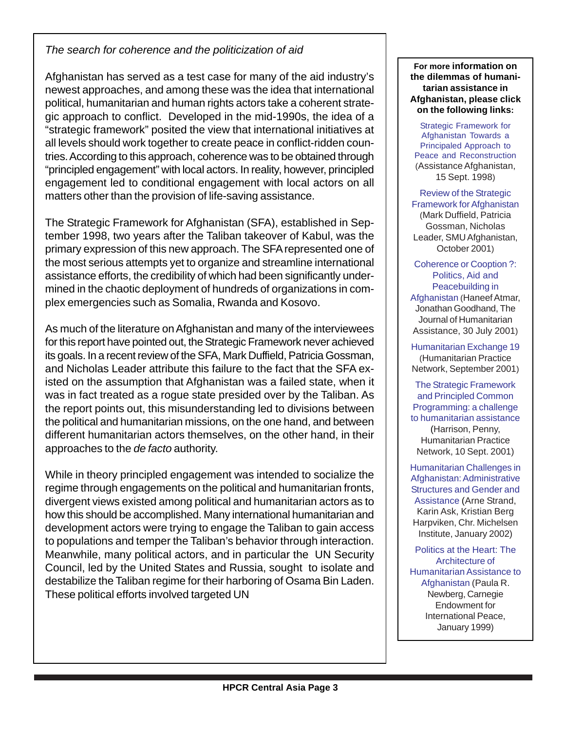#### *The search for coherence and the politicization of aid*

Afghanistan has served as a test case for many of the aid industry's newest approaches, and among these was the idea that international political, humanitarian and human rights actors take a coherent strategic approach to conflict. Developed in the mid-1990s, the idea of a "strategic framework" posited the view that international initiatives at all levels should work together to create peace in conflict-ridden countries. According to this approach, coherence was to be obtained through "principled engagement" with local actors. In reality, however, principled engagement led to conditional engagement with local actors on all matters other than the provision of life-saving assistance.

The Strategic Framework for Afghanistan (SFA), established in September 1998, two years after the Taliban takeover of Kabul, was the primary expression of this new approach. The SFA represented one of the most serious attempts yet to organize and streamline international assistance efforts, the credibility of which had been significantly undermined in the chaotic deployment of hundreds of organizations in complex emergencies such as Somalia, Rwanda and Kosovo.

As much of the literature on Afghanistan and many of the interviewees for this report have pointed out, the Strategic Framework never achieved its goals. In a recent review of the SFA, Mark Duffield, Patricia Gossman, and Nicholas Leader attribute this failure to the fact that the SFA existed on the assumption that Afghanistan was a failed state, when it was in fact treated as a rogue state presided over by the Taliban. As the report points out, this misunderstanding led to divisions between the political and humanitarian missions, on the one hand, and between different humanitarian actors themselves, on the other hand, in their approaches to the *de facto* authority.

While in theory principled engagement was intended to socialize the regime through engagements on the political and humanitarian fronts, divergent views existed among political and humanitarian actors as to how this should be accomplished. Many international humanitarian and development actors were trying to engage the Taliban to gain access to populations and temper the Taliban's behavior through interaction. Meanwhile, many political actors, and in particular the UN Security Council, led by the United States and Russia, sought to isolate and destabilize the Taliban regime for their harboring of Osama Bin Laden. These political efforts involved targeted UN

**For more information on the dilemmas of humanitarian assistance in Afghanistan, please click on the following links:**

[Strategic Framework for](http://www.pcpafg.org/Programme/strategic_framework/StrategicFramework.shtml) Afghanistan Towards a [Principaled Approach to](http://www.pcpafg.org/Programme/strategic_framework/StrategicFramework.shtml) [Peace and Reconstruction](http://www.pcpafg.org/Programme/strategic_framework/StrategicFramework.shtml) (Assistance Afghanistan, 15 Sept. 1998)

[Review of the Strategic](http://www.preventconflict.org/portal/centralasia/SFAreport102001.pdf) [Framework for Afghanistan](http://www.preventconflict.org/portal/centralasia/SFAreport102001.pdf) (Mark Duffield, Patricia Gossman, Nicholas Leader, SMU Afghanistan, October 2001)

[Coherence or Cooption ?:](http://www.jha.ac/articles/a069.htm) Politics, Aid and [Peacebuilding in](http://www.jha.ac/articles/a069.htm) [Afghanistan](http://www.jha.ac/articles/a069.htm) (Haneef Atmar, Jonathan Goodhand, The Journal of Humanitarian Assistance, 30 July 2001)

[Humanitarian Exchange 19](http://www.odihpn.org/pdfbin/newsletter019.pdf) (Humanitarian Practice Network, September 2001)

[The Strategic Framework](http://www.odihpn.org/report.asp?ReportID=2336) and Principled Common [Programming: a challenge](http://www.odihpn.org/report.asp?ReportID=2336) [to humanitarian assistance](http://www.odihpn.org/report.asp?ReportID=2336) (Harrison, Penny, Humanitarian Practice Network, 10 Sept. 2001)

[Humanitarian Challenges in](http://www.cmi.no/pdf/2001/Reports/rapport%20R%202001-4.PDF) Afghanistan: Administrative [Structures and Gender and](http://www.cmi.no/pdf/2001/Reports/rapport%20R%202001-4.PDF) [Assistance](http://www.cmi.no/pdf/2001/Reports/rapport%20R%202001-4.PDF) (Arne Strand, Karin Ask, Kristian Berg Harpviken, Chr. Michelsen Institute, January 2002)

[Politics at the Heart: The](http://www.ceip.org/files/Publications/wp2.asp?from=pubauthor ) Architecture of [Humanitarian Assistance to](http://www.ceip.org/files/Publications/wp2.asp?from=pubauthor ) [Afghanistan](http://www.ceip.org/files/Publications/wp2.asp?from=pubauthor ) (Paula R. Newberg, Carnegie Endowment for International Peace, January 1999)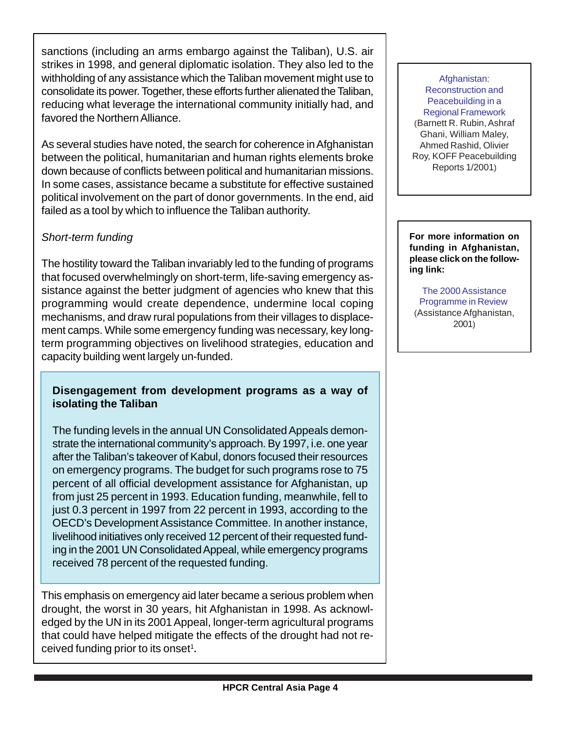sanctions (including an arms embargo against the Taliban), U.S. air strikes in 1998, and general diplomatic isolation. They also led to the withholding of any assistance which the Taliban movement might use to consolidate its power. Together, these efforts further alienated the Taliban, reducing what leverage the international community initially had, and favored the Northern Alliance.

As several studies have noted, the search for coherence in Afghanistan between the political, humanitarian and human rights elements broke down because of conflicts between political and humanitarian missions. In some cases, assistance became a substitute for effective sustained political involvement on the part of donor governments. In the end, aid failed as a tool by which to influence the Taliban authority.

#### *Short-term funding*

The hostility toward the Taliban invariably led to the funding of programs that focused overwhelmingly on short-term, life-saving emergency assistance against the better judgment of agencies who knew that this programming would create dependence, undermine local coping mechanisms, and draw rural populations from their villages to displacement camps. While some emergency funding was necessary, key longterm programming objectives on livelihood strategies, education and capacity building went largely un-funded.

#### **Disengagement from development programs as a way of isolating the Taliban**

The funding levels in the annual UN Consolidated Appeals demonstrate the international community's approach. By 1997, i.e. one year after the Taliban's takeover of Kabul, donors focused their resources on emergency programs. The budget for such programs rose to 75 percent of all official development assistance for Afghanistan, up from just 25 percent in 1993. Education funding, meanwhile, fell to just 0.3 percent in 1997 from 22 percent in 1993, according to the OECD's Development Assistance Committee. In another instance, livelihood initiatives only received 12 percent of their requested funding in the 2001 UN Consolidated Appeal, while emergency programs received 78 percent of the requested funding.

This emphasis on emergency aid later became a serious problem when drought, the worst in 30 years, hit Afghanistan in 1998. As acknowledged by the UN in its 2001 Appeal, longer-term agricultural programs that could have helped mitigate the effects of the drought had not received funding prior to its onset<sup>1</sup>.

[Afghanistan:](http://www.swisspeace.ch/html/program/koff/reports/1_2001.pdf) Reconstruction and Peacebuilding in a [Regional Framework](http://www.swisspeace.ch/html/program/koff/reports/1_2001.pdf) (Barnett R. Rubin, Ashraf Ghani, William Maley, Ahmed Rashid, Olivier Roy, KOFF Peacebuilding Reports 1/2001)

**For more information on funding in Afghanistan, please click on the following link:**

[The 2000 Assistance](http://www.pcpafg.org/appeal/Appeal2001/2000AssistanceProgrammeReview.html) [Programme in Review](http://www.pcpafg.org/appeal/Appeal2001/2000AssistanceProgrammeReview.html) (Assistance Afghanistan, 2001)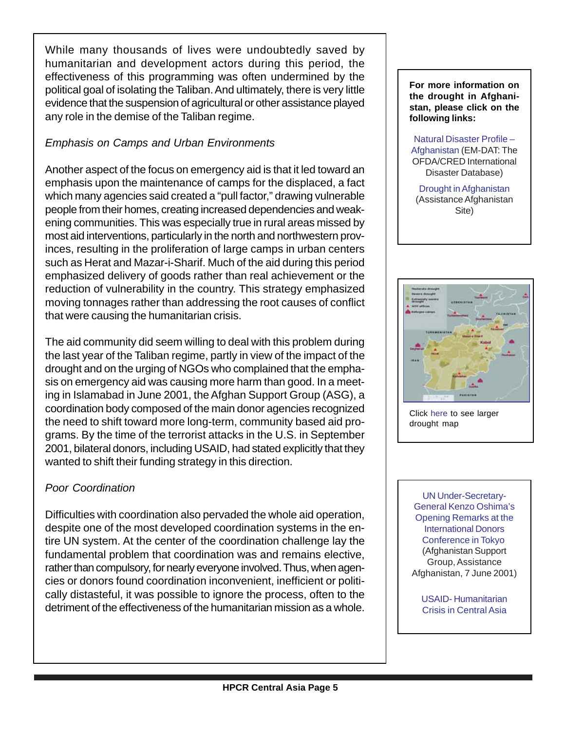While many thousands of lives were undoubtedly saved by humanitarian and development actors during this period, the effectiveness of this programming was often undermined by the political goal of isolating the Taliban. And ultimately, there is very little evidence that the suspension of agricultural or other assistance played any role in the demise of the Taliban regime.

#### *Emphasis on Camps and Urban Environments*

Another aspect of the focus on emergency aid is that it led toward an emphasis upon the maintenance of camps for the displaced, a fact which many agencies said created a "pull factor," drawing vulnerable people from their homes, creating increased dependencies and weakening communities. This was especially true in rural areas missed by most aid interventions, particularly in the north and northwestern provinces, resulting in the proliferation of large camps in urban centers such as Herat and Mazar-i-Sharif. Much of the aid during this period emphasized delivery of goods rather than real achievement or the reduction of vulnerability in the country. This strategy emphasized moving tonnages rather than addressing the root causes of conflict that were causing the humanitarian crisis.

The aid community did seem willing to deal with this problem during the last year of the Taliban regime, partly in view of the impact of the drought and on the urging of NGOs who complained that the emphasis on emergency aid was causing more harm than good. In a meeting in Islamabad in June 2001, the Afghan Support Group (ASG), a coordination body composed of the main donor agencies recognized the need to shift toward more long-term, community based aid programs. By the time of the terrorist attacks in the U.S. in September 2001, bilateral donors, including USAID, had stated explicitly that they wanted to shift their funding strategy in this direction.

#### *Poor Coordination*

Difficulties with coordination also pervaded the whole aid operation, despite one of the most developed coordination systems in the entire UN system. At the center of the coordination challenge lay the fundamental problem that coordination was and remains elective, rather than compulsory, for nearly everyone involved. Thus, when agencies or donors found coordination inconvenient, inefficient or politically distasteful, it was possible to ignore the process, often to the detriment of the effectiveness of the humanitarian mission as a whole.

**For more information on the drought in Afghanistan, please click on the following links:**

[Natural Disaster Profile –](http://www.cred.be/emdat/profiles/natural/afghan.htm) [Afghanistan \(](http://www.cred.be/emdat/profiles/natural/afghan.htm)EM-DAT: The OFDA/CRED International Disaster Database)

[Drought in Afghanistan](http://www.pcpafg.org/Programme/drought/index.shtml) [\(](http://www.pcpafg.org/Programme/drought/index.shtml)Assistance Afghanistan Site)



Click [here](http://www.reliefweb.int/w/map.nsf/wByCLatest/3E3797E549402B2185256ADC00755CCB?Opendocument) to see larger drought map

[UN Under-Secretary-](http://www.pcpafg.org/Programme/ASG/2001/Mr_Oshimas_Opening_Remarks_ASG_Islamabad_7_June_2001.shtml)[General Kenzo Oshima's](http://www.pcpafg.org/Programme/ASG/2001/Mr_Oshimas_Opening_Remarks_ASG_Islamabad_7_June_2001.shtml) Opening Remarks at the International Donors [Conference in Tokyo](http://www.pcpafg.org/Programme/ASG/2001/Mr_Oshimas_Opening_Remarks_ASG_Islamabad_7_June_2001.shtml) [\(](http://www.cred.be/emdat/profiles/natural/afghan.htm)Afghanistan Support Group, Assistance Afghanistan, 7 June 2001)

[USAID- Humanitarian](http://www.usaid.gov/about/afghanistan/) [Crisis in Central Asia](http://www.usaid.gov/about/afghanistan/)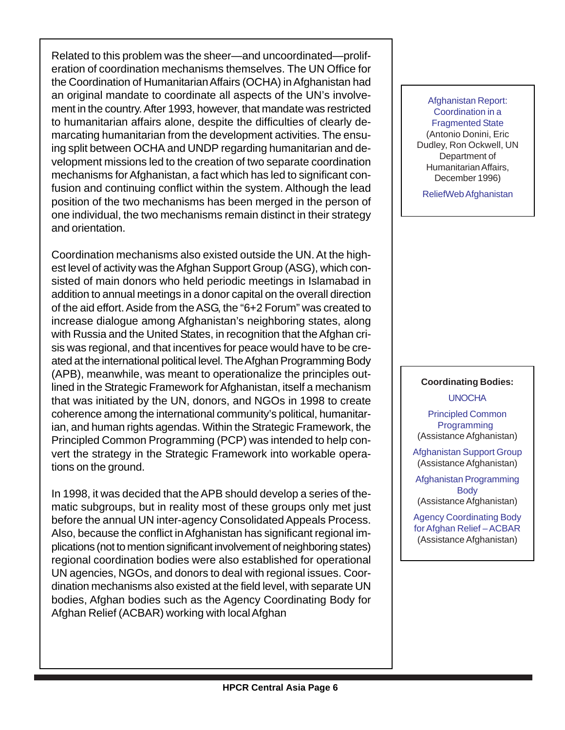Related to this problem was the sheer—and uncoordinated—proliferation of coordination mechanisms themselves. The UN Office for the Coordination of Humanitarian Affairs (OCHA) in Afghanistan had an original mandate to coordinate all aspects of the UN's involvement in the country. After 1993, however, that mandate was restricted to humanitarian affairs alone, despite the difficulties of clearly demarcating humanitarian from the development activities. The ensuing split between OCHA and UNDP regarding humanitarian and development missions led to the creation of two separate coordination mechanisms for Afghanistan, a fact which has led to significant confusion and continuing conflict within the system. Although the lead position of the two mechanisms has been merged in the person of one individual, the two mechanisms remain distinct in their strategy and orientation.

Coordination mechanisms also existed outside the UN. At the highest level of activity was the Afghan Support Group (ASG), which consisted of main donors who held periodic meetings in Islamabad in addition to annual meetings in a donor capital on the overall direction of the aid effort. Aside from the ASG, the "6+2 Forum" was created to increase dialogue among Afghanistan's neighboring states, along with Russia and the United States, in recognition that the Afghan crisis was regional, and that incentives for peace would have to be created at the international political level. The Afghan Programming Body (APB), meanwhile, was meant to operationalize the principles outlined in the Strategic Framework for Afghanistan, itself a mechanism that was initiated by the UN, donors, and NGOs in 1998 to create coherence among the international community's political, humanitarian, and human rights agendas. Within the Strategic Framework, the Principled Common Programming (PCP) was intended to help convert the strategy in the Strategic Framework into workable operations on the ground.

In 1998, it was decided that the APB should develop a series of thematic subgroups, but in reality most of these groups only met just before the annual UN inter-agency Consolidated Appeals Process. Also, because the conflict in Afghanistan has significant regional implications (not to mention significant involvement of neighboring states) regional coordination bodies were also established for operational UN agencies, NGOs, and donors to deal with regional issues. Coordination mechanisms also existed at the field level, with separate UN bodies, Afghan bodies such as the Agency Coordinating Body for Afghan Relief (ACBAR) working with local Afghan

[Afghanistan Report:](http://www.reliefweb.int/ocha_ol/programs/unocha/afgrpt/afghan.html#toc) [Coordination in a](http://www.reliefweb.int/ocha_ol/programs/unocha/afgrpt/afghan.html#toc) [Fragmented State](http://www.reliefweb.int/ocha_ol/programs/unocha/afgrpt/afghan.html#toc) (Antonio Donini, Eric Dudley, Ron Ockwell, UN Department of Humanitarian Affairs, December 1996)

[ReliefWeb Afghanistan](http://www.reliefweb.int/w/rwb.nsf/vLCE/Afghanistan?OpenDocument&StartKey=Afghanistan&Expandview )

#### **Coordinating Bodies:** [UNOCHA](http://www.reliefweb.int/ocha_ol/country/afg/overview.html)

[Principled Common](http://www.pcpafg.org/Programme/) [Programming](http://www.pcpafg.org/Programme/)  (Assistance Afghanistan)

[Afghanistan Support Group](http://www.pcpafg.org/Programme/ASG/) (Assistance Afghanistan)

[Afghanistan Programming](http://www.pcpafg.org/Programme/APB/) [Body](http://www.pcpafg.org/Programme/APB/) (Assistance Afghanistan)

[Agency Coordinating Body](http://www.pcpafg.org/Organizations/acbar/agency_coordinating_body_for_afg.html) [for Afghan Relief – ACBAR](http://www.pcpafg.org/Organizations/acbar/agency_coordinating_body_for_afg.html) (Assistance Afghanistan)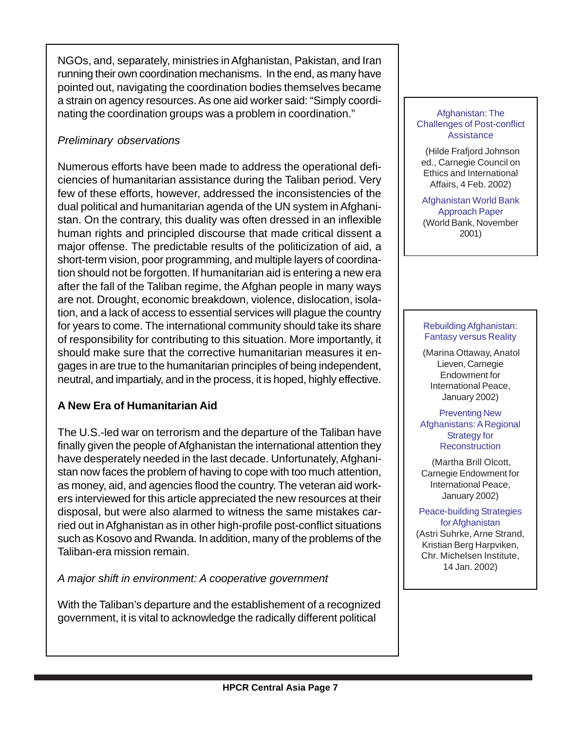NGOs, and, separately, ministries in Afghanistan, Pakistan, and Iran running their own coordination mechanisms. In the end, as many have pointed out, navigating the coordination bodies themselves became a strain on agency resources. As one aid worker said: "Simply coordinating the coordination groups was a problem in coordination."

#### *Preliminary observations*

Numerous efforts have been made to address the operational deficiencies of humanitarian assistance during the Taliban period. Very few of these efforts, however, addressed the inconsistencies of the dual political and humanitarian agenda of the UN system in Afghanistan. On the contrary, this duality was often dressed in an inflexible human rights and principled discourse that made critical dissent a major offense. The predictable results of the politicization of aid, a short-term vision, poor programming, and multiple layers of coordination should not be forgotten. If humanitarian aid is entering a new era after the fall of the Taliban regime, the Afghan people in many ways are not. Drought, economic breakdown, violence, dislocation, isolation, and a lack of access to essential services will plague the country for years to come. The international community should take its share of responsibility for contributing to this situation. More importantly, it should make sure that the corrective humanitarian measures it engages in are true to the humanitarian principles of being independent, neutral, and impartialy, and in the process, it is hoped, highly effective.

#### **A New Era of Humanitarian Aid**

The U.S.-led war on terrorism and the departure of the Taliban have finally given the people of Afghanistan the international attention they have desperately needed in the last decade. Unfortunately, Afghanistan now faces the problem of having to cope with too much attention, as money, aid, and agencies flood the country. The veteran aid workers interviewed for this article appreciated the new resources at their disposal, but were also alarmed to witness the same mistakes carried out in Afghanistan as in other high-profile post-conflict situations such as Kosovo and Rwanda. In addition, many of the problems of the Taliban-era mission remain.

*A major shift in environment: A cooperative government*

With the Taliban's departure and the establishement of a recognized government, it is vital to acknowledge the radically different political

#### [Afghanistan: The](http://www.carnegiecouncil.org/about/transcript_johnson.html) [Challenges of Post-conflict](http://www.carnegiecouncil.org/about/transcript_johnson.html) **[Assistance](http://www.carnegiecouncil.org/about/transcript_johnson.html)**

 (Hilde Frafjord Johnson ed., Carnegie Council on Ethics and International Affairs, 4 Feb. 2002)

[Afghanistan World Bank](http://lnweb18.worldbank.org/sar/sa.nsf/Countries/Afghanistan/7AA687A0D8FE299985256AFB00742B6D?OpenDocument) [Approach Paper](http://lnweb18.worldbank.org/sar/sa.nsf/Countries/Afghanistan/7AA687A0D8FE299985256AFB00742B6D?OpenDocument) (World Bank, November 2001)

#### [Rebuilding Afghanistan:](http://www.ceip.org/files/pdf/Policybrief12.pdf) [Fantasy versus Reality](http://www.ceip.org/files/pdf/Policybrief12.pdf)

 (Marina Ottaway, Anatol Lieven, Carnegie Endowment for International Peace, January 2002)

[Preventing New](http://www.ceip.org/files/pdf/Policybrief11.pdf) [Afghanistans: A Regional](http://www.ceip.org/files/pdf/Policybrief11.pdf) Strategy for **[Reconstruction](http://www.ceip.org/files/pdf/Policybrief11.pdf)** 

 (Martha Brill Olcott, Carnegie Endowment for International Peace, January 2002)

[Peace-building Strategies](http://www.cmi.no/pdf/Peacbuilding%20Afghanistan.pdf) [for Afghanistan](http://www.cmi.no/pdf/Peacbuilding%20Afghanistan.pdf) (Astri Suhrke, Arne Strand, Kristian Berg Harpviken, Chr. Michelsen Institute, 14 Jan. 2002)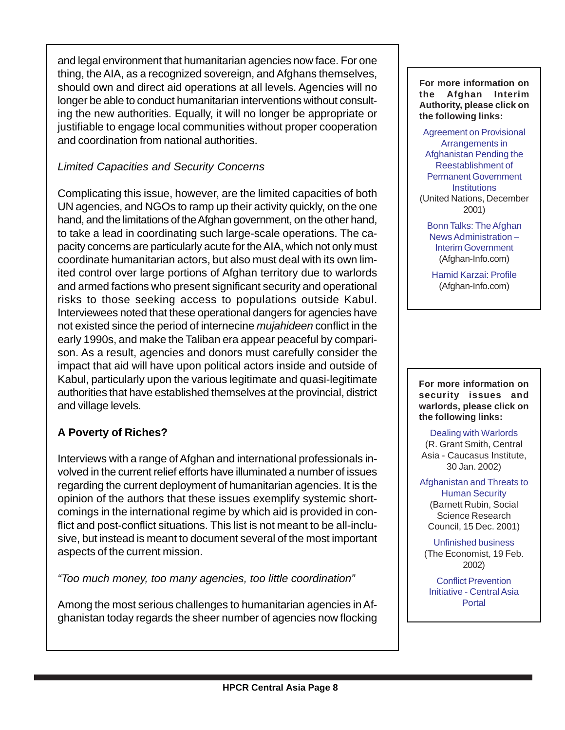and legal environment that humanitarian agencies now face. For one thing, the AIA, as a recognized sovereign, and Afghans themselves, should own and direct aid operations at all levels. Agencies will no longer be able to conduct humanitarian interventions without consulting the new authorities. Equally, it will no longer be appropriate or justifiable to engage local communities without proper cooperation and coordination from national authorities.

#### *Limited Capacities and Security Concerns*

Complicating this issue, however, are the limited capacities of both UN agencies, and NGOs to ramp up their activity quickly, on the one hand, and the limitations of the Afghan government, on the other hand, to take a lead in coordinating such large-scale operations. The capacity concerns are particularly acute for the AIA, which not only must coordinate humanitarian actors, but also must deal with its own limited control over large portions of Afghan territory due to warlords and armed factions who present significant security and operational risks to those seeking access to populations outside Kabul. Interviewees noted that these operational dangers for agencies have not existed since the period of internecine *mujahideen* conflict in the early 1990s, and make the Taliban era appear peaceful by comparison. As a result, agencies and donors must carefully consider the impact that aid will have upon political actors inside and outside of Kabul, particularly upon the various legitimate and quasi-legitimate authorities that have established themselves at the provincial, district and village levels.

## **A Poverty of Riches?**

Interviews with a range of Afghan and international professionals involved in the current relief efforts have illuminated a number of issues regarding the current deployment of humanitarian agencies. It is the opinion of the authors that these issues exemplify systemic shortcomings in the international regime by which aid is provided in conflict and post-conflict situations. This list is not meant to be all-inclusive, but instead is meant to document several of the most important aspects of the current mission.

*"Too much money, too many agencies, too little coordination"*

Among the most serious challenges to humanitarian agencies in Afghanistan today regards the sheer number of agencies now flocking **For more information on the Afghan Interim Authority, please click on the following links:**

[Agreement on Provisional](http://www.uno.de/frieden/afghanistan/talks/agreement.htm) Arrangements in [Afghanistan Pending the](http://www.uno.de/frieden/afghanistan/talks/agreement.htm) Reestablishment of Permanent Government **[Institutions](http://www.uno.de/frieden/afghanistan/talks/agreement.htm)** (United Nations, December 2001)

[Bonn Talks: The Afghan](http://www.afghan-info.com/Politics/Interim_AfghanGovt.htm) [News Administration –](http://www.afghan-info.com/Politics/Interim_AfghanGovt.htm) [Interim Government](http://www.afghan-info.com/Politics/Interim_AfghanGovt.htm) (Afghan-Info.com)

[Hamid Karzai: Profile](http://www.afghan-info.com/Politics/Hamid_Karzai_Profile.htm) (Afghan-Info.com)

**For more information on security issues and warlords, please click on the following links:**

[Dealing with Warlords](http://www.cacianalyst.org/2002-01-30/20020130_DEALING_WITH_WARLORDS.htm) (R. Grant Smith, Central Asia - Caucasus Institute, 30 Jan. 2002)

[Afghanistan and Threats to](http://www.ssrc.org/sept11/essays/rubin.htm) [Human Security](http://www.ssrc.org/sept11/essays/rubin.htm) (Barnett Rubin, Social Science Research Council, 15 Dec. 2001)

[Unfinished business](http://www.economist.com/agenda/displayStory.cfm?Story_ID=997641) (The Economist, 19 Feb. 2002)

[Conflict Prevention](http://www.preventconflict.org/portal/centralasia/searchresults.php?search=Afghanistan+AND+security+AND+warlord ) [Initiative - Central Asia](http://www.preventconflict.org/portal/centralasia/searchresults.php?search=Afghanistan+AND+security+AND+warlord ) **[Portal](http://www.preventconflict.org/portal/centralasia/searchresults.php?search=Afghanistan+AND+security+AND+warlord )**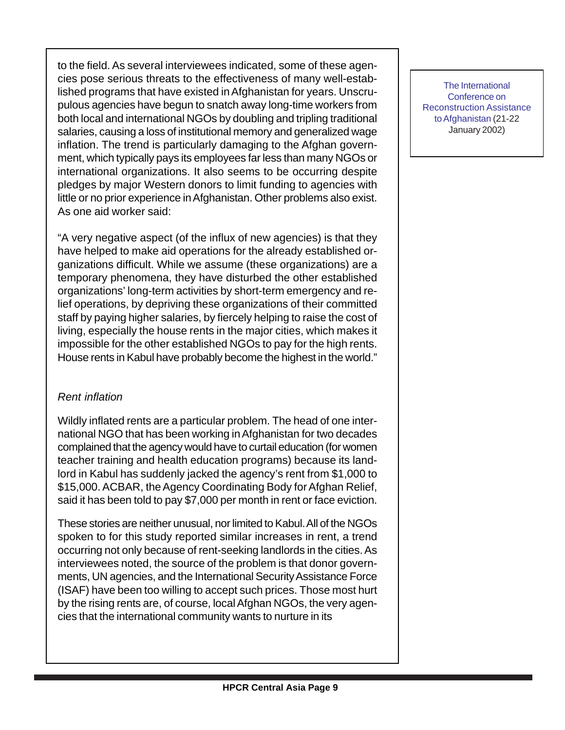to the field. As several interviewees indicated, some of these agencies pose serious threats to the effectiveness of many well-established programs that have existed in Afghanistan for years. Unscrupulous agencies have begun to snatch away long-time workers from both local and international NGOs by doubling and tripling traditional salaries, causing a loss of institutional memory and generalized wage inflation. The trend is particularly damaging to the Afghan government, which typically pays its employees far less than many NGOs or international organizations. It also seems to be occurring despite pledges by major Western donors to limit funding to agencies with little or no prior experience in Afghanistan. Other problems also exist. As one aid worker said:

"A very negative aspect (of the influx of new agencies) is that they have helped to make aid operations for the already established organizations difficult. While we assume (these organizations) are a temporary phenomena, they have disturbed the other established organizations' long-term activities by short-term emergency and relief operations, by depriving these organizations of their committed staff by paying higher salaries, by fiercely helping to raise the cost of living, especially the house rents in the major cities, which makes it impossible for the other established NGOs to pay for the high rents. House rents in Kabul have probably become the highest in the world."

#### *Rent inflation*

Wildly inflated rents are a particular problem. The head of one international NGO that has been working in Afghanistan for two decades complained that the agency would have to curtail education (for women teacher training and health education programs) because its landlord in Kabul has suddenly jacked the agency's rent from \$1,000 to \$15,000. ACBAR, the Agency Coordinating Body for Afghan Relief, said it has been told to pay \$7,000 per month in rent or face eviction.

These stories are neither unusual, nor limited to Kabul. All of the NGOs spoken to for this study reported similar increases in rent, a trend occurring not only because of rent-seeking landlords in the cities. As interviewees noted, the source of the problem is that donor governments, UN agencies, and the International Security Assistance Force (ISAF) have been too willing to accept such prices. Those most hurt by the rising rents are, of course, local Afghan NGOs, the very agencies that the international community wants to nurture in its

[The International](http://www.mofa.go.jp/region/middle_e/afghanistan/min0201/index.html) Conference on [Reconstruction Assistance](http://www.mofa.go.jp/region/middle_e/afghanistan/min0201/index.html) [to Afghanistan](http://www.mofa.go.jp/region/middle_e/afghanistan/min0201/index.html) (21-22 January 2002)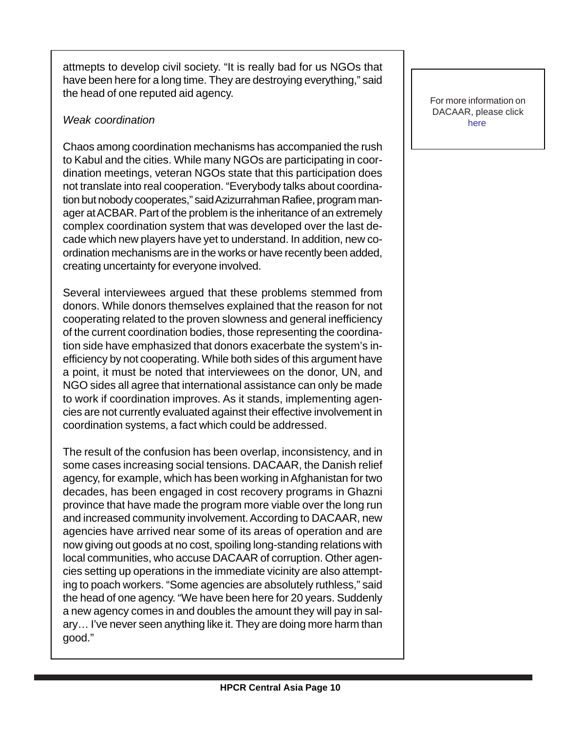attmepts to develop civil society. "It is really bad for us NGOs that have been here for a long time. They are destroying everything," said the head of one reputed aid agency.

#### *Weak coordination*

Chaos among coordination mechanisms has accompanied the rush to Kabul and the cities. While many NGOs are participating in coordination meetings, veteran NGOs state that this participation does not translate into real cooperation. "Everybody talks about coordination but nobody cooperates," said Azizurrahman Rafiee, program manager at ACBAR. Part of the problem is the inheritance of an extremely complex coordination system that was developed over the last decade which new players have yet to understand. In addition, new coordination mechanisms are in the works or have recently been added, creating uncertainty for everyone involved.

Several interviewees argued that these problems stemmed from donors. While donors themselves explained that the reason for not cooperating related to the proven slowness and general inefficiency of the current coordination bodies, those representing the coordination side have emphasized that donors exacerbate the system's inefficiency by not cooperating. While both sides of this argument have a point, it must be noted that interviewees on the donor, UN, and NGO sides all agree that international assistance can only be made to work if coordination improves. As it stands, implementing agencies are not currently evaluated against their effective involvement in coordination systems, a fact which could be addressed.

The result of the confusion has been overlap, inconsistency, and in some cases increasing social tensions. DACAAR, the Danish relief agency, for example, which has been working in Afghanistan for two decades, has been engaged in cost recovery programs in Ghazni province that have made the program more viable over the long run and increased community involvement. According to DACAAR, new agencies have arrived near some of its areas of operation and are now giving out goods at no cost, spoiling long-standing relations with local communities, who accuse DACAAR of corruption. Other agencies setting up operations in the immediate vicinity are also attempting to poach workers. "Some agencies are absolutely ruthless," said the head of one agency. "We have been here for 20 years. Suddenly a new agency comes in and doubles the amount they will pay in salary… I've never seen anything like it. They are doing more harm than good."

For more information on DACAAR, please click [here](http://www.dacaar.org/)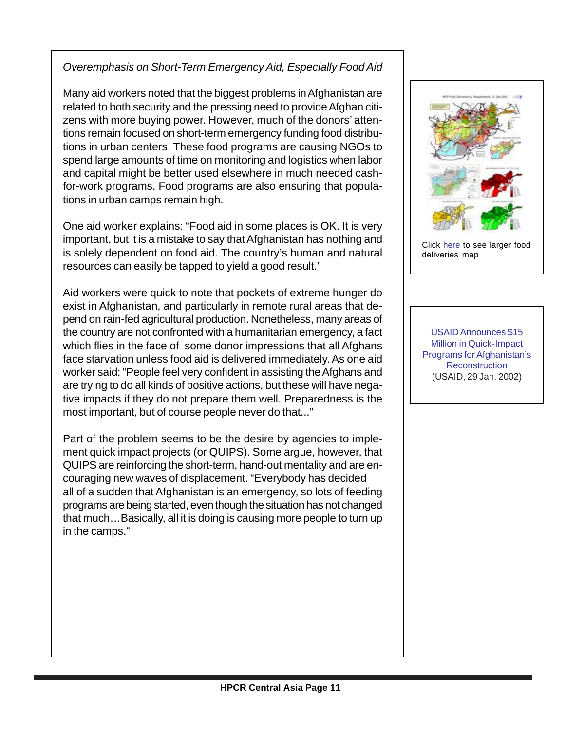#### *Overemphasis on Short-Term Emergency Aid, Especially Food Aid*

Many aid workers noted that the biggest problems in Afghanistan are related to both security and the pressing need to provide Afghan citizens with more buying power. However, much of the donors' attentions remain focused on short-term emergency funding food distributions in urban centers. These food programs are causing NGOs to spend large amounts of time on monitoring and logistics when labor and capital might be better used elsewhere in much needed cashfor-work programs. Food programs are also ensuring that populations in urban camps remain high.

One aid worker explains: "Food aid in some places is OK. It is very important, but it is a mistake to say that Afghanistan has nothing and is solely dependent on food aid. The country's human and natural resources can easily be tapped to yield a good result."

Aid workers were quick to note that pockets of extreme hunger do exist in Afghanistan, and particularly in remote rural areas that depend on rain-fed agricultural production. Nonetheless, many areas of the country are not confronted with a humanitarian emergency, a fact which flies in the face of some donor impressions that all Afghans face starvation unless food aid is delivered immediately. As one aid worker said: "People feel very confident in assisting the Afghans and are trying to do all kinds of positive actions, but these will have negative impacts if they do not prepare them well. Preparedness is the most important, but of course people never do that..."

Part of the problem seems to be the desire by agencies to implement quick impact projects (or QUIPS). Some argue, however, that QUIPS are reinforcing the short-term, hand-out mentality and are encouraging new waves of displacement. "Everybody has decided all of a sudden that Afghanistan is an emergency, so lots of feeding programs are being started, even though the situation has not changed that much…Basically, all it is doing is causing more people to turn up in the camps."



Click [here](http://www.reliefweb.int/w/fullMaps_Sa.nsf/luFullMap/2196C492CDB7944F85256B3E00625668/$File/wfp311201.pdf?OpenElement) to see larger food deliveries map

[USAID Announces \\$15](http://www.usaid.gov/press/releases/2002/pr020129.html) Million in Quick-Impact [Programs for Afghanistan's](http://www.usaid.gov/press/releases/2002/pr020129.html) **[Reconstruction](http://www.usaid.gov/press/releases/2002/pr020129.html)** (USAID, 29 Jan. 2002)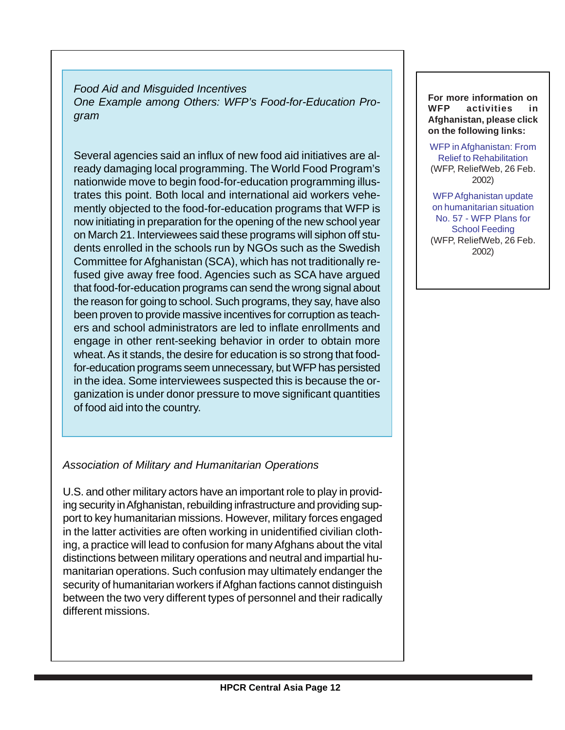*Food Aid and Misguided Incentives One Example among Others: WFP's Food-for-Education Program*

Several agencies said an influx of new food aid initiatives are already damaging local programming. The World Food Program's nationwide move to begin food-for-education programming illustrates this point. Both local and international aid workers vehemently objected to the food-for-education programs that WFP is now initiating in preparation for the opening of the new school year on March 21. Interviewees said these programs will siphon off students enrolled in the schools run by NGOs such as the Swedish Committee for Afghanistan (SCA), which has not traditionally refused give away free food. Agencies such as SCA have argued that food-for-education programs can send the wrong signal about the reason for going to school. Such programs, they say, have also been proven to provide massive incentives for corruption as teachers and school administrators are led to inflate enrollments and engage in other rent-seeking behavior in order to obtain more wheat. As it stands, the desire for education is so strong that foodfor-education programs seem unnecessary, but WFP has persisted in the idea. Some interviewees suspected this is because the organization is under donor pressure to move significant quantities of food aid into the country.

#### *Association of Military and Humanitarian Operations*

U.S. and other military actors have an important role to play in providing security in Afghanistan, rebuilding infrastructure and providing support to key humanitarian missions. However, military forces engaged in the latter activities are often working in unidentified civilian clothing, a practice will lead to confusion for many Afghans about the vital distinctions between military operations and neutral and impartial humanitarian operations. Such confusion may ultimately endanger the security of humanitarian workers if Afghan factions cannot distinguish between the two very different types of personnel and their radically different missions.

#### **For more information on WFP activities in Afghanistan, please click on the following links:**

[WFP in Afghanistan: From](http://wwww.reliefweb.int/w/rwb.nsf/480fa8736b88bbc3c12564f6004c8ad5/91dcc5c85c225076c1256b6d0030710f?OpenDocument) [Relief to Rehabilitation](http://wwww.reliefweb.int/w/rwb.nsf/480fa8736b88bbc3c12564f6004c8ad5/91dcc5c85c225076c1256b6d0030710f?OpenDocument) (WFP, ReliefWeb, 26 Feb. 2002)

[WFPAfghanistan update](http://www.reliefweb.int/w/rwb.nsf/vID/99F7C7F15146964885256B67005FA925?OpenDocument) [on humanitarian situation](http://www.reliefweb.int/w/rwb.nsf/vID/99F7C7F15146964885256B67005FA925?OpenDocument) No. 57 - WFP Plans for [School Feeding](http://www.reliefweb.int/w/rwb.nsf/vID/99F7C7F15146964885256B67005FA925?OpenDocument) (WFP, ReliefWeb, 26 Feb. 2002)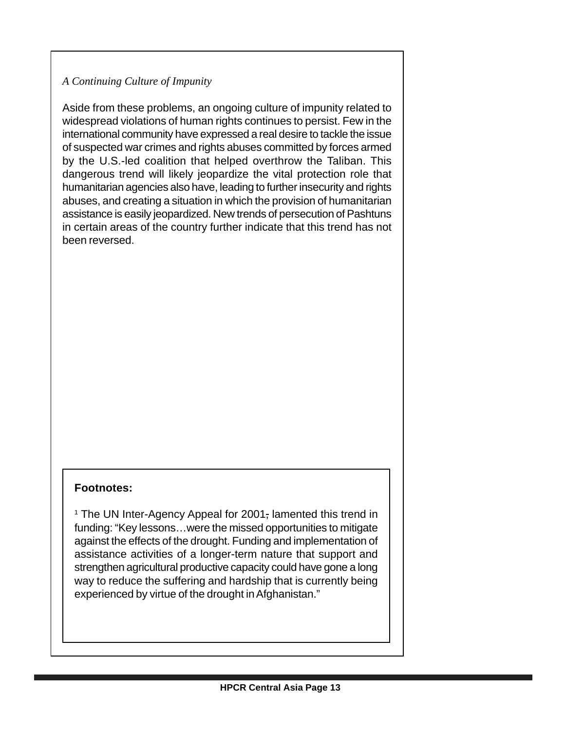#### *A Continuing Culture of Impunity*

Aside from these problems, an ongoing culture of impunity related to widespread violations of human rights continues to persist. Few in the international community have expressed a real desire to tackle the issue of suspected war crimes and rights abuses committed by forces armed by the U.S.-led coalition that helped overthrow the Taliban. This dangerous trend will likely jeopardize the vital protection role that humanitarian agencies also have, leading to further insecurity and rights abuses, and creating a situation in which the provision of humanitarian assistance is easily jeopardized. New trends of persecution of Pashtuns in certain areas of the country further indicate that this trend has not been reversed.

#### **Footnotes:**

<sup>1</sup> The UN Inter-Agency Appeal for 2001, lamented this trend in funding: "Key lessons…were the missed opportunities to mitigate against the effects of the drought. Funding and implementation of assistance activities of a longer-term nature that support and strengthen agricultural productive capacity could have gone a long way to reduce the suffering and hardship that is currently being experienced by virtue of the drought in Afghanistan."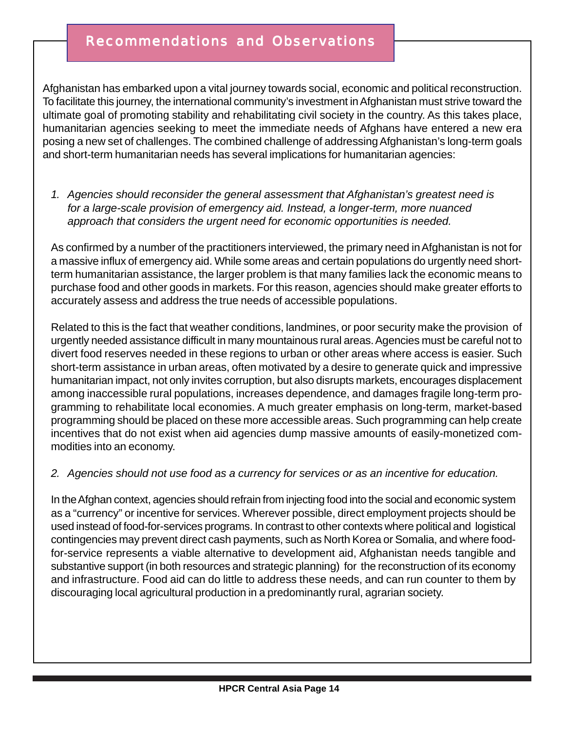## Recommendations and Observations

Afghanistan has embarked upon a vital journey towards social, economic and political reconstruction. To facilitate this journey, the international community's investment in Afghanistan must strive toward the ultimate goal of promoting stability and rehabilitating civil society in the country. As this takes place, humanitarian agencies seeking to meet the immediate needs of Afghans have entered a new era posing a new set of challenges. The combined challenge of addressing Afghanistan's long-term goals and short-term humanitarian needs has several implications for humanitarian agencies:

*1. Agencies should reconsider the general assessment that Afghanistan's greatest need is for a large-scale provision of emergency aid. Instead, a longer-term, more nuanced approach that considers the urgent need for economic opportunities is needed.*

As confirmed by a number of the practitioners interviewed, the primary need in Afghanistan is not for a massive influx of emergency aid. While some areas and certain populations do urgently need shortterm humanitarian assistance, the larger problem is that many families lack the economic means to purchase food and other goods in markets. For this reason, agencies should make greater efforts to accurately assess and address the true needs of accessible populations.

Related to this is the fact that weather conditions, landmines, or poor security make the provision of urgently needed assistance difficult in many mountainous rural areas. Agencies must be careful not to divert food reserves needed in these regions to urban or other areas where access is easier. Such short-term assistance in urban areas, often motivated by a desire to generate quick and impressive humanitarian impact, not only invites corruption, but also disrupts markets, encourages displacement among inaccessible rural populations, increases dependence, and damages fragile long-term programming to rehabilitate local economies. A much greater emphasis on long-term, market-based programming should be placed on these more accessible areas. Such programming can help create incentives that do not exist when aid agencies dump massive amounts of easily-monetized commodities into an economy.

#### *2. Agencies should not use food as a currency for services or as an incentive for education.*

In the Afghan context, agencies should refrain from injecting food into the social and economic system as a "currency" or incentive for services. Wherever possible, direct employment projects should be used instead of food-for-services programs. In contrast to other contexts where political and logistical contingencies may prevent direct cash payments, such as North Korea or Somalia, and where foodfor-service represents a viable alternative to development aid, Afghanistan needs tangible and substantive support (in both resources and strategic planning) for the reconstruction of its economy and infrastructure. Food aid can do little to address these needs, and can run counter to them by discouraging local agricultural production in a predominantly rural, agrarian society.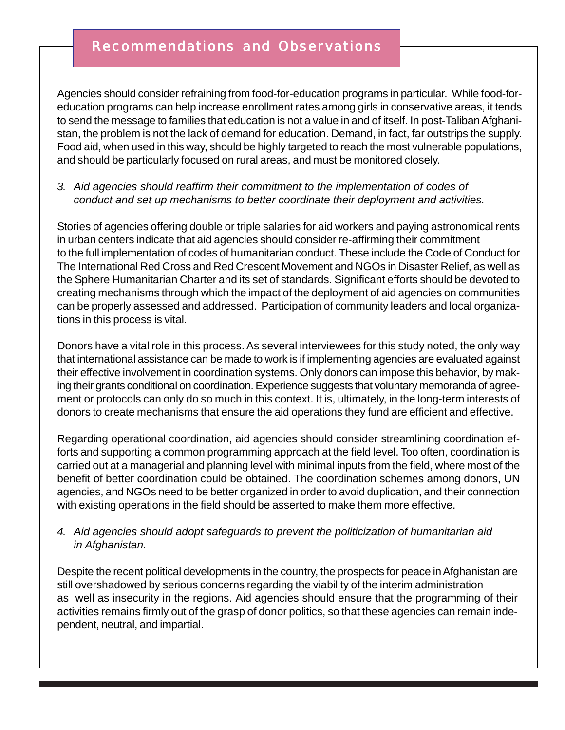## Recommendations and Observations

Agencies should consider refraining from food-for-education programs in particular. While food-foreducation programs can help increase enrollment rates among girls in conservative areas, it tends to send the message to families that education is not a value in and of itself. In post-Taliban Afghanistan, the problem is not the lack of demand for education. Demand, in fact, far outstrips the supply. Food aid, when used in this way, should be highly targeted to reach the most vulnerable populations, and should be particularly focused on rural areas, and must be monitored closely.

#### *3. Aid agencies should reaffirm their commitment to the implementation of codes of conduct and set up mechanisms to better coordinate their deployment and activities.*

Stories of agencies offering double or triple salaries for aid workers and paying astronomical rents in urban centers indicate that aid agencies should consider re-affirming their commitment to the full implementation of codes of humanitarian conduct. These include the Code of Conduct for The International Red Cross and Red Crescent Movement and NGOs in Disaster Relief, as well as the Sphere Humanitarian Charter and its set of standards. Significant efforts should be devoted to creating mechanisms through which the impact of the deployment of aid agencies on communities can be properly assessed and addressed. Participation of community leaders and local organizations in this process is vital.

Donors have a vital role in this process. As several interviewees for this study noted, the only way that international assistance can be made to work is if implementing agencies are evaluated against their effective involvement in coordination systems. Only donors can impose this behavior, by making their grants conditional on coordination. Experience suggests that voluntary memoranda of agreement or protocols can only do so much in this context. It is, ultimately, in the long-term interests of donors to create mechanisms that ensure the aid operations they fund are efficient and effective.

Regarding operational coordination, aid agencies should consider streamlining coordination efforts and supporting a common programming approach at the field level. Too often, coordination is carried out at a managerial and planning level with minimal inputs from the field, where most of the benefit of better coordination could be obtained. The coordination schemes among donors, UN agencies, and NGOs need to be better organized in order to avoid duplication, and their connection with existing operations in the field should be asserted to make them more effective.

#### *4. Aid agencies should adopt safeguards to prevent the politicization of humanitarian aid in Afghanistan.*

Despite the recent political developments in the country, the prospects for peace in Afghanistan are still overshadowed by serious concerns regarding the viability of the interim administration as well as insecurity in the regions. Aid agencies should ensure that the programming of their activities remains firmly out of the grasp of donor politics, so that these agencies can remain independent, neutral, and impartial.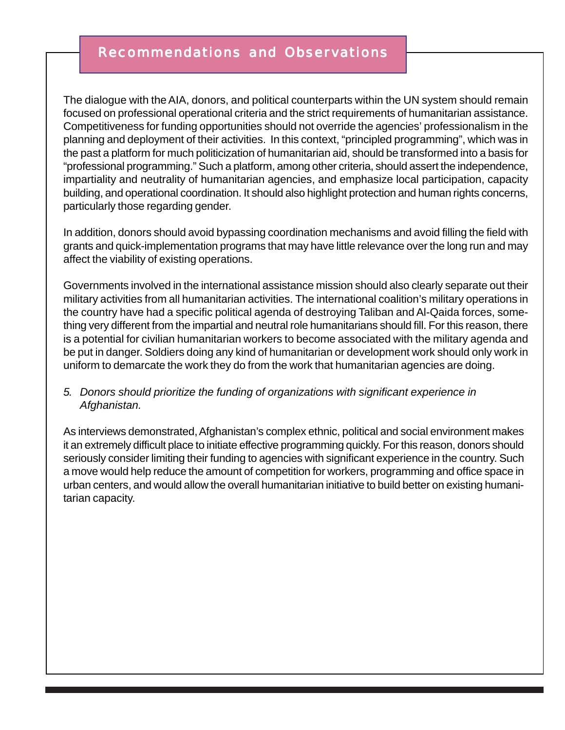# Recommendations and Observations

The dialogue with the AIA, donors, and political counterparts within the UN system should remain focused on professional operational criteria and the strict requirements of humanitarian assistance. Competitiveness for funding opportunities should not override the agencies' professionalism in the planning and deployment of their activities. In this context, "principled programming", which was in the past a platform for much politicization of humanitarian aid, should be transformed into a basis for "professional programming." Such a platform, among other criteria, should assert the independence, impartiality and neutrality of humanitarian agencies, and emphasize local participation, capacity building, and operational coordination. It should also highlight protection and human rights concerns, particularly those regarding gender.

In addition, donors should avoid bypassing coordination mechanisms and avoid filling the field with grants and quick-implementation programs that may have little relevance over the long run and may affect the viability of existing operations.

Governments involved in the international assistance mission should also clearly separate out their military activities from all humanitarian activities. The international coalition's military operations in the country have had a specific political agenda of destroying Taliban and Al-Qaida forces, something very different from the impartial and neutral role humanitarians should fill. For this reason, there is a potential for civilian humanitarian workers to become associated with the military agenda and be put in danger. Soldiers doing any kind of humanitarian or development work should only work in uniform to demarcate the work they do from the work that humanitarian agencies are doing.

#### *5. Donors should prioritize the funding of organizations with significant experience in Afghanistan.*

As interviews demonstrated, Afghanistan's complex ethnic, political and social environment makes it an extremely difficult place to initiate effective programming quickly. For this reason, donors should seriously consider limiting their funding to agencies with significant experience in the country. Such a move would help reduce the amount of competition for workers, programming and office space in urban centers, and would allow the overall humanitarian initiative to build better on existing humanitarian capacity.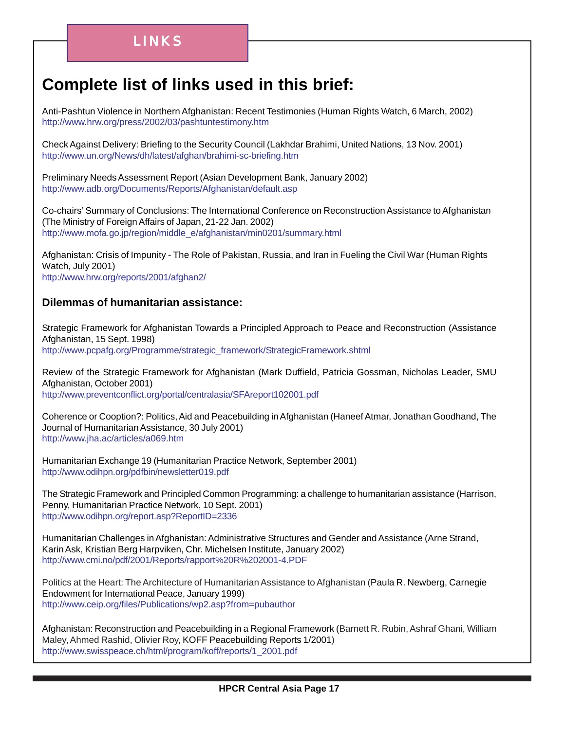# **Complete list of links used in this brief:**

Anti-Pashtun Violence in Northern Afghanistan: Recent Testimonies (Human Rights Watch, 6 March, 2002) <http://www.hrw.org/press/2002/03/pashtuntestimony.htm>

Check Against Delivery: Briefing to the Security Council (Lakhdar Brahimi, United Nations, 13 Nov. 2001) <http://www.un.org/News/dh/latest/afghan/brahimi-sc-briefing.htm>

Preliminary Needs Assessment Report (Asian Development Bank, January 2002) <http://www.adb.org/Documents/Reports/Afghanistan/default.asp>

Co-chairs' Summary of Conclusions: The International Conference on Reconstruction Assistance to Afghanistan (The Ministry of Foreign Affairs of Japan, 21-22 Jan. 2002) [http://www.mofa.go.jp/region/middle\\_e/afghanistan/min0201/summary.html](http://www.mofa.go.jp/region/middle_e/afghanistan/min0201/summary.html)

Afghanistan: Crisis of Impunity - The Role of Pakistan, Russia, and Iran in Fueling the Civil War (Human Rights Watch, July 2001) <http://www.hrw.org/reports/2001/afghan2/>

#### **Dilemmas of humanitarian assistance:**

Strategic Framework for Afghanistan Towards a Principled Approach to Peace and Reconstruction (Assistance Afghanistan, 15 Sept. 1998) [http://www.pcpafg.org/Programme/strategic\\_framework/StrategicFramework.shtml](http://www.pcpafg.org/Programme/strategic_framework/StrategicFramework.shtml)

Review of the Strategic Framework for Afghanistan (Mark Duffield, Patricia Gossman, Nicholas Leader, SMU Afghanistan, October 2001) <http://www.preventconflict.org/portal/centralasia/SFAreport102001.pdf>

Coherence or Cooption?: Politics, Aid and Peacebuilding in Afghanistan (Haneef Atmar, Jonathan Goodhand, The Journal of Humanitarian Assistance, 30 July 2001) <http://www.jha.ac/articles/a069.htm>

Humanitarian Exchange 19 (Humanitarian Practice Network, September 2001) <http://www.odihpn.org/pdfbin/newsletter019.pdf>

The Strategic Framework and Principled Common Programming: a challenge to humanitarian assistance (Harrison, Penny, Humanitarian Practice Network, 10 Sept. 2001) <http://www.odihpn.org/report.asp?ReportID=2336>

Humanitarian Challenges in Afghanistan: Administrative Structures and Gender and Assistance (Arne Strand, Karin Ask, Kristian Berg Harpviken, Chr. Michelsen Institute, January 2002) <http://www.cmi.no/pdf/2001/Reports/rapport%20R%202001-4.PDF>

Politics at the Heart: The Architecture of Humanitarian Assistance to Afghanistan (Paula R. Newberg, Carnegie Endowment for International Peace, January 1999) [http://www.ceip.org/files/Publications/wp2.asp?from=pubauthor](http://www.ceip.org/files/Publications/wp2.asp?from=pubauthor )

Afghanistan: Reconstruction and Peacebuilding in a Regional Framework (Barnett R. Rubin, Ashraf Ghani, William Maley, Ahmed Rashid, Olivier Roy, KOFF Peacebuilding Reports 1/2001) [http://www.swisspeace.ch/html/program/koff/reports/1\\_2001.pdf](http://www.swisspeace.ch/html/program/koff/reports/1_2001.pdf)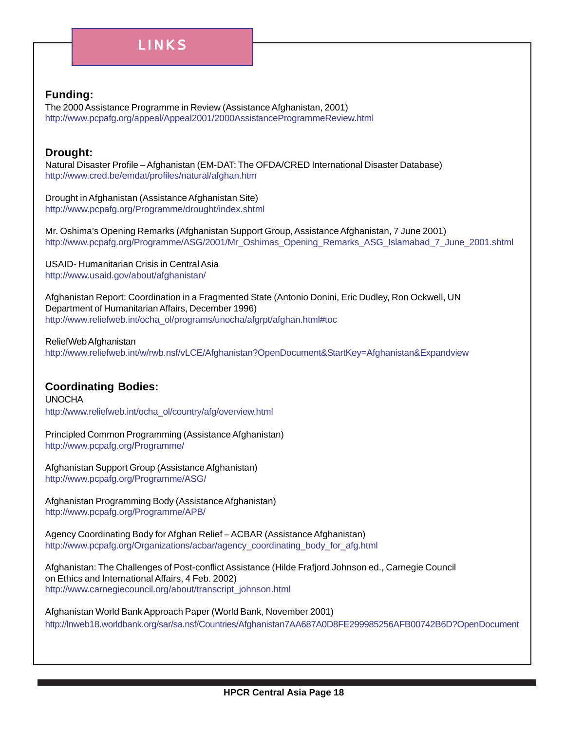# LINKS

#### **Funding:**

The 2000 Assistance Programme in Review (Assistance Afghanistan, 2001) <http://www.pcpafg.org/appeal/Appeal2001/2000AssistanceProgrammeReview.html>

#### **Drought:**

Natural Disaster Profile – Afghanistan (EM-DAT: The OFDA/CRED International Disaster Database) <http://www.cred.be/emdat/profiles/natural/afghan.htm>

Drought in Afghanistan (Assistance Afghanistan Site) <http://www.pcpafg.org/Programme/drought/index.shtml>

Mr. Oshima's Opening Remarks (Afghanistan Support Group, Assistance Afghanistan, 7 June 2001) [http://www.pcpafg.org/Programme/ASG/2001/Mr\\_Oshimas\\_Opening\\_Remarks\\_ASG\\_Islamabad\\_7\\_June\\_2001.shtml](http://www.pcpafg.org/Programme/ASG/2001/Mr_Oshimas_Opening_Remarks_ASG_Islamabad_7_June_2001.shtml)

USAID- Humanitarian Crisis in Central Asia <http://www.usaid.gov/about/afghanistan/>

Afghanistan Report: Coordination in a Fragmented State (Antonio Donini, Eric Dudley, Ron Ockwell, UN Department of Humanitarian Affairs, December 1996) [http://www.reliefweb.int/ocha\\_ol/programs/unocha/afgrpt/afghan.html#toc](http://www.reliefweb.int/ocha_ol/programs/unocha/afgrpt/afghan.html#toc)

ReliefWeb Afghanistan [http://www.reliefweb.int/w/rwb.nsf/vLCE/Afghanistan?OpenDocument&StartKey=Afghanistan&Expandview](http://www.reliefweb.int/w/rwb.nsf/vLCE/Afghanistan?OpenDocument&StartKey=Afghanistan&Expandview )

#### **Coordinating Bodies:**

UNOCHA [http://www.reliefweb.int/ocha\\_ol/country/afg/overview.html](http://www.reliefweb.int/ocha_ol/country/afg/overview.html) 

Principled Common Programming (Assistance Afghanistan) <http://www.pcpafg.org/Programme/>

Afghanistan Support Group (Assistance Afghanistan) <http://www.pcpafg.org/Programme/ASG/>

Afghanistan Programming Body (Assistance Afghanistan) <http://www.pcpafg.org/Programme/APB/>

Agency Coordinating Body for Afghan Relief – ACBAR (Assistance Afghanistan) [http://www.pcpafg.org/Organizations/acbar/agency\\_coordinating\\_body\\_for\\_afg.html](http://www.pcpafg.org/Organizations/acbar/agency_coordinating_body_for_afg.html)

Afghanistan: The Challenges of Post-conflict Assistance (Hilde Frafjord Johnson ed., Carnegie Council on Ethics and International Affairs, 4 Feb. 2002) [http://www.carnegiecouncil.org/about/transcript\\_johnson.html](http://www.carnegiecouncil.org/about/transcript_johnson.html)

Afghanistan World Bank Approach Paper (World Bank, November 2001) [http://lnweb18.worldbank.org/sar/sa.nsf/Countries/Afghanistan7AA687A0D8FE299985256AFB00742B6D?OpenDocument](http://lnweb18.worldbank.org/sar/sa.nsf/Countries/Afghanistan/7AA687A0D8FE299985256AFB00742B6D?OpenDocument)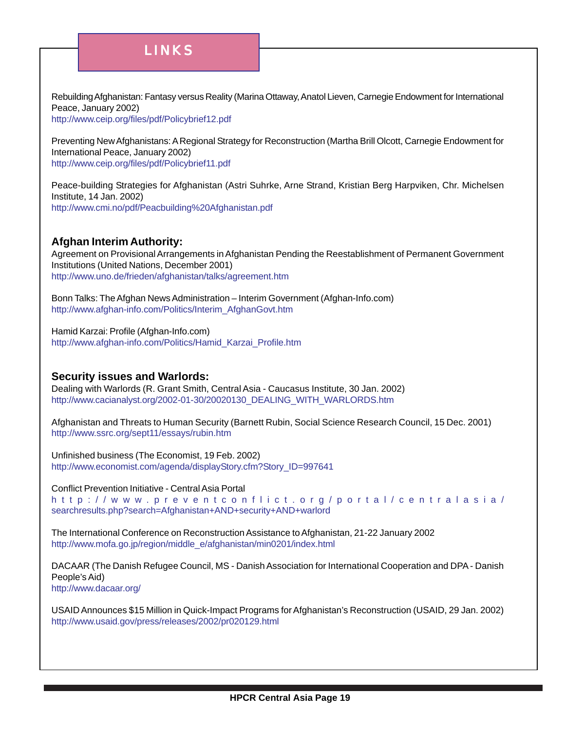# LINKS

Rebuilding Afghanistan: Fantasy versus Reality (Marina Ottaway, Anatol Lieven, Carnegie Endowment for International Peace, January 2002)

<http://www.ceip.org/files/pdf/Policybrief12.pdf>

Preventing New Afghanistans: A Regional Strategy for Reconstruction (Martha Brill Olcott, Carnegie Endowment for International Peace, January 2002) <http://www.ceip.org/files/pdf/Policybrief11.pdf>

Peace-building Strategies for Afghanistan (Astri Suhrke, Arne Strand, Kristian Berg Harpviken, Chr. Michelsen Institute, 14 Jan. 2002) <http://www.cmi.no/pdf/Peacbuilding%20Afghanistan.pdf>

#### **Afghan Interim Authority:**

Agreement on Provisional Arrangements in Afghanistan Pending the Reestablishment of Permanent Government Institutions (United Nations, December 2001) <http://www.uno.de/frieden/afghanistan/talks/agreement.htm>

Bonn Talks: The Afghan News Administration – Interim Government (Afghan-Info.com) [http://www.afghan-info.com/Politics/Interim\\_AfghanGovt.htm](http://www.afghan-info.com/Politics/Interim_AfghanGovt.htm)

Hamid Karzai: Profile (Afghan-Info.com)

[http://www.afghan-info.com/Politics/Hamid\\_Karzai\\_Profile.htm](http://www.afghan-info.com/Politics/Hamid_Karzai_Profile.htm)

#### **Security issues and Warlords:**

Dealing with Warlords (R. Grant Smith, Central Asia - Caucasus Institute, 30 Jan. 2002) [http://www.cacianalyst.org/2002-01-30/20020130\\_DEALING\\_WITH\\_WARLORDS.htm](http://www.cacianalyst.org/2002-01-30/20020130_DEALING_WITH_WARLORDS.htm)

Afghanistan and Threats to Human Security (Barnett Rubin, Social Science Research Council, 15 Dec. 2001) <http://www.ssrc.org/sept11/essays/rubin.htm>

Unfinished business (The Economist, 19 Feb. 2002) [http://www.economist.com/agenda/displayStory.cfm?Story\\_ID=997641](http://www.economist.com/agenda/displayStory.cfm?Story_ID=997641)

Conflict Prevention Initiative - Central Asia Portal

http://www [.preventconflict.org/port](http://www.preventconflict.org/portal/centralasia/searchresults.php?search=Afghanistan+AND+security+AND+warlord ) al/centralasia/ [searchresults.php?search=Afghanistan+AND+security+AND+warlord](http://www.preventconflict.org/portal/centralasia/searchresults.php?search=Afghanistan+AND+security+AND+warlord )

The International Conference on Reconstruction Assistance to Afghanistan, 21-22 January 2002 [http://www.mofa.go.jp/region/middle\\_e/afghanistan/min0201/index.html](http://www.mofa.go.jp/region/middle_e/afghanistan/min0201/index.html)

DACAAR (The Danish Refugee Council, MS - Danish Association for International Cooperation and DPA - Danish People's Aid) <http://www.dacaar.org/>

USAID Announces \$15 Million in Quick-Impact Programs for Afghanistan's Reconstruction (USAID, 29 Jan. 2002) <http://www.usaid.gov/press/releases/2002/pr020129.html>